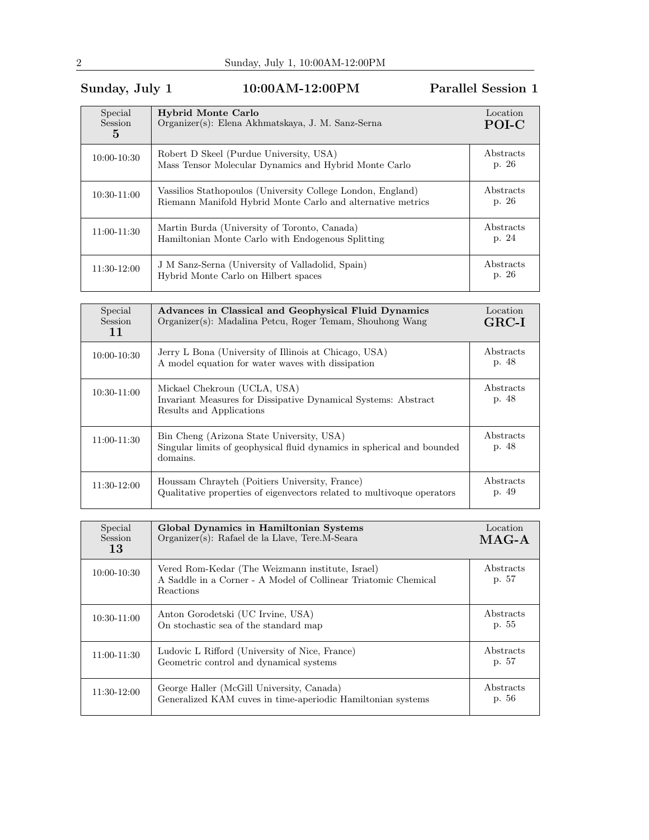## Sunday, July 1 10:00AM-12:00PM Parallel Session 1

| Special<br>Session<br>5 | <b>Hybrid Monte Carlo</b><br>Organizer(s): Elena Akhmatskaya, J. M. Sanz-Serna                                             | Location<br>POI-C          |
|-------------------------|----------------------------------------------------------------------------------------------------------------------------|----------------------------|
| $10:00 - 10:30$         | Robert D Skeel (Purdue University, USA)<br>Mass Tensor Molecular Dynamics and Hybrid Monte Carlo                           | Abstracts<br>p. 26         |
| $10:30-11:00$           | Vassilios Stathopoulos (University College London, England)<br>Riemann Manifold Hybrid Monte Carlo and alternative metrics | <b>A</b> bstracts<br>p. 26 |
| 11:00-11:30             | Martin Burda (University of Toronto, Canada)<br>Hamiltonian Monte Carlo with Endogenous Splitting                          | Abstracts<br>p. 24         |
| 11:30-12:00             | J M Sanz-Serna (University of Valladolid, Spain)<br>Hybrid Monte Carlo on Hilbert spaces                                   | Abstracts<br>p. 26         |

| Special<br><b>Session</b><br>11 | Advances in Classical and Geophysical Fluid Dynamics<br>Organizer(s): Madalina Petcu, Roger Temam, Shouhong Wang                | Location<br>$GRC-I$ |
|---------------------------------|---------------------------------------------------------------------------------------------------------------------------------|---------------------|
| $10:00 - 10:30$                 | Jerry L Bona (University of Illinois at Chicago, USA)<br>A model equation for water waves with dissipation                      | Abstracts<br>p. 48  |
| $10:30-11:00$                   | Mickael Chekroun (UCLA, USA)<br>Invariant Measures for Dissipative Dynamical Systems: Abstract<br>Results and Applications      | Abstracts<br>p. 48  |
| $11:00-11:30$                   | Bin Cheng (Arizona State University, USA)<br>Singular limits of geophysical fluid dynamics in spherical and bounded<br>domains. | Abstracts<br>p. 48  |
| 11:30-12:00                     | Houssam Chrayteh (Poitiers University, France)<br>Qualitative properties of eigenvectors related to multivoque operators        | Abstracts<br>p. 49  |

| Special<br><b>Session</b><br>13 | Global Dynamics in Hamiltonian Systems<br>Organizer(s): Rafael de la Llave, Tere.M-Seara                                        | Location<br>$MAG-A$ |
|---------------------------------|---------------------------------------------------------------------------------------------------------------------------------|---------------------|
| 10:00-10:30                     | Vered Rom-Kedar (The Weizmann institute, Israel)<br>A Saddle in a Corner - A Model of Collinear Triatomic Chemical<br>Reactions | Abstracts<br>p. 57  |
| 10:30-11:00                     | Anton Gorodetski (UC Irvine, USA)<br>On stochastic sea of the standard map                                                      | Abstracts<br>p. 55  |
| 11:00-11:30                     | Ludovic L Rifford (University of Nice, France)<br>Geometric control and dynamical systems                                       | Abstracts<br>p. 57  |
| 11:30-12:00                     | George Haller (McGill University, Canada)<br>Generalized KAM cuves in time-aperiodic Hamiltonian systems                        | Abstracts<br>p. 56  |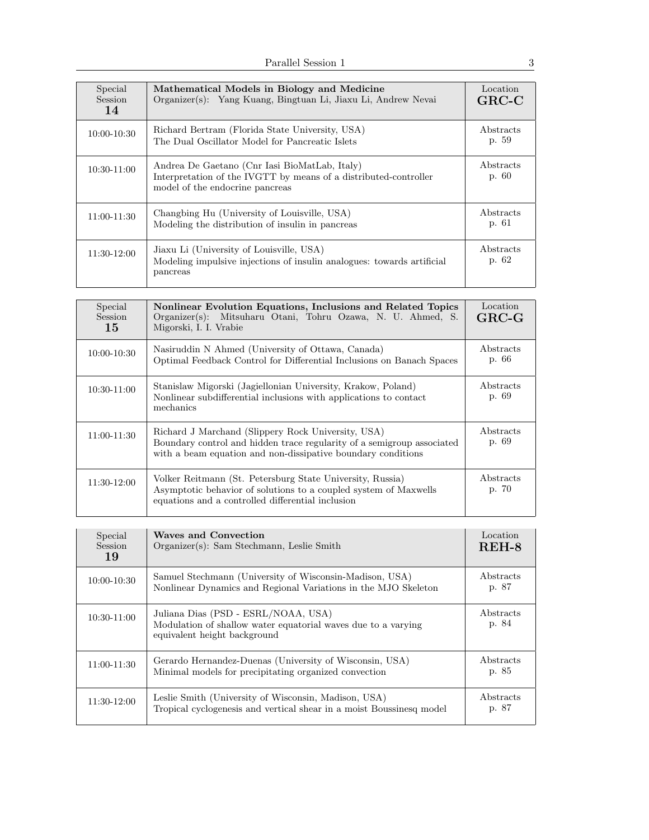| Special<br><b>Session</b><br>14 | Mathematical Models in Biology and Medicine<br>Organizer(s): Yang Kuang, Bingtuan Li, Jiaxu Li, Andrew Nevai                                         | Location<br>$GRC-C$ |
|---------------------------------|------------------------------------------------------------------------------------------------------------------------------------------------------|---------------------|
| 10:00-10:30                     | Richard Bertram (Florida State University, USA)<br>The Dual Oscillator Model for Pancreatic Islets                                                   | Abstracts<br>p. 59  |
| 10:30-11:00                     | Andrea De Gaetano (Cnr Iasi BioMatLab, Italy)<br>Interpretation of the IVGTT by means of a distributed-controller<br>model of the endocrine pancreas | Abstracts<br>p. 60  |
| $11:00-11:30$                   | Changbing Hu (University of Louisville, USA)<br>Modeling the distribution of insulin in pancreas                                                     | Abstracts<br>p. 61  |
| 11:30-12:00                     | Jiaxu Li (University of Louisville, USA)<br>Modeling impulsive injections of insulin analogues: towards artificial<br>pancreas                       | Abstracts<br>p. 62  |

| Special<br>Session<br>15 | Nonlinear Evolution Equations, Inclusions and Related Topics<br>Organizer(s): Mitsuharu Otani, Tohru Ozawa, N. U. Ahmed, S.<br>Migorski, I. I. Vrabie                                        | Location<br>$GRC-G$ |
|--------------------------|----------------------------------------------------------------------------------------------------------------------------------------------------------------------------------------------|---------------------|
| 10:00-10:30              | Nasiruddin N Ahmed (University of Ottawa, Canada)<br>Optimal Feedback Control for Differential Inclusions on Banach Spaces                                                                   | Abstracts<br>p. 66  |
| $10:30-11:00$            | Stanislaw Migorski (Jagiellonian University, Krakow, Poland)<br>Nonlinear subdifferential inclusions with applications to contact<br>mechanics                                               | Abstracts<br>p. 69  |
| $11:00-11:30$            | Richard J Marchand (Slippery Rock University, USA)<br>Boundary control and hidden trace regularity of a semigroup associated<br>with a beam equation and non-dissipative boundary conditions | Abstracts<br>p. 69  |
| $11:30-12:00$            | Volker Reitmann (St. Petersburg State University, Russia)<br>Asymptotic behavior of solutions to a coupled system of Maxwells<br>equations and a controlled differential inclusion           | Abstracts<br>p. 70  |

| Special<br><b>Session</b><br>19 | Waves and Convection<br>Organizer(s): Sam Stechmann, Leslie Smith                                                                    | Location<br>$REH-8$ |
|---------------------------------|--------------------------------------------------------------------------------------------------------------------------------------|---------------------|
| 10:00-10:30                     | Samuel Stechmann (University of Wisconsin-Madison, USA)<br>Nonlinear Dynamics and Regional Variations in the MJO Skeleton            | Abstracts<br>p. 87  |
| $10:30-11:00$                   | Juliana Dias (PSD - ESRL/NOAA, USA)<br>Modulation of shallow water equatorial waves due to a varying<br>equivalent height background | Abstracts<br>p. 84  |
| $11:00-11:30$                   | Gerardo Hernandez-Duenas (University of Wisconsin, USA)<br>Minimal models for precipitating organized convection                     | Abstracts<br>p. 85  |
| 11:30-12:00                     | Leslie Smith (University of Wisconsin, Madison, USA)<br>Tropical cyclogenesis and vertical shear in a moist Boussinesq model         | Abstracts<br>p. 87  |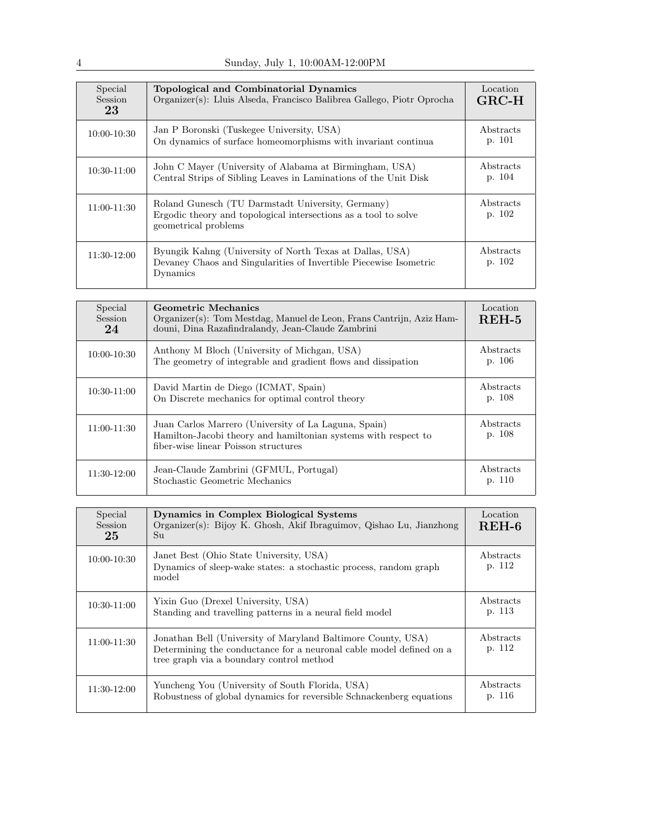| Special<br><b>Session</b><br>23 | Topological and Combinatorial Dynamics<br>Organizer(s): Lluis Alseda, Francisco Balibrea Gallego, Piotr Oprocha                              | Location<br>$GRC-H$ |
|---------------------------------|----------------------------------------------------------------------------------------------------------------------------------------------|---------------------|
| 10:00-10:30                     | Jan P Boronski (Tuskegee University, USA)<br>On dynamics of surface homeomorphisms with invariant continua                                   | Abstracts<br>p. 101 |
| $10:30-11:00$                   | John C Mayer (University of Alabama at Birmingham, USA)<br>Central Strips of Sibling Leaves in Laminations of the Unit Disk                  | Abstracts<br>p. 104 |
| 11:00-11:30                     | Roland Gunesch (TU Darmstadt University, Germany)<br>Ergodic theory and topological intersections as a tool to solve<br>geometrical problems | Abstracts<br>p. 102 |
| 11:30-12:00                     | Byungik Kahng (University of North Texas at Dallas, USA)<br>Devaney Chaos and Singularities of Invertible Piecewise Isometric<br>Dynamics    | Abstracts<br>p. 102 |

| Special<br><b>Session</b><br>24 | Geometric Mechanics<br>Organizer(s): Tom Mestdag, Manuel de Leon, Frans Cantrijn, Aziz Ham-<br>douni, Dina Razafindralandy, Jean-Claude Zambrini               | Location<br>$REH-5$ |
|---------------------------------|----------------------------------------------------------------------------------------------------------------------------------------------------------------|---------------------|
| $10:00 - 10:30$                 | Anthony M Bloch (University of Michgan, USA)<br>The geometry of integrable and gradient flows and dissipation                                                  | Abstracts<br>p. 106 |
| 10:30-11:00                     | David Martin de Diego (ICMAT, Spain)<br>On Discrete mechanics for optimal control theory                                                                       | Abstracts<br>p. 108 |
| $11:00 - 11:30$                 | Juan Carlos Marrero (University of La Laguna, Spain)<br>Hamilton-Jacobi theory and hamiltonian systems with respect to<br>fiber-wise linear Poisson structures | Abstracts<br>p. 108 |
| 11:30-12:00                     | Jean-Claude Zambrini (GFMUL, Portugal)<br>Stochastic Geometric Mechanics                                                                                       | Abstracts<br>p. 110 |

| Special<br>Session<br>25 | Dynamics in Complex Biological Systems<br>Organizer(s): Bijoy K. Ghosh, Akif Ibraguimov, Qishao Lu, Jianzhong<br>Su                                                             | Location<br>$REH-6$ |
|--------------------------|---------------------------------------------------------------------------------------------------------------------------------------------------------------------------------|---------------------|
| $10:00 - 10:30$          | Janet Best (Ohio State University, USA)<br>Dynamics of sleep-wake states: a stochastic process, random graph<br>model                                                           | Abstracts<br>p. 112 |
| 10:30-11:00              | Yixin Guo (Drexel University, USA)<br>Standing and travelling patterns in a neural field model                                                                                  | Abstracts<br>p. 113 |
| $11:00 - 11:30$          | Jonathan Bell (University of Maryland Baltimore County, USA)<br>Determining the conductance for a neuronal cable model defined on a<br>tree graph via a boundary control method | Abstracts<br>p. 112 |
| 11:30-12:00              | Yuncheng You (University of South Florida, USA)<br>Robustness of global dynamics for reversible Schnackenberg equations                                                         | Abstracts<br>p. 116 |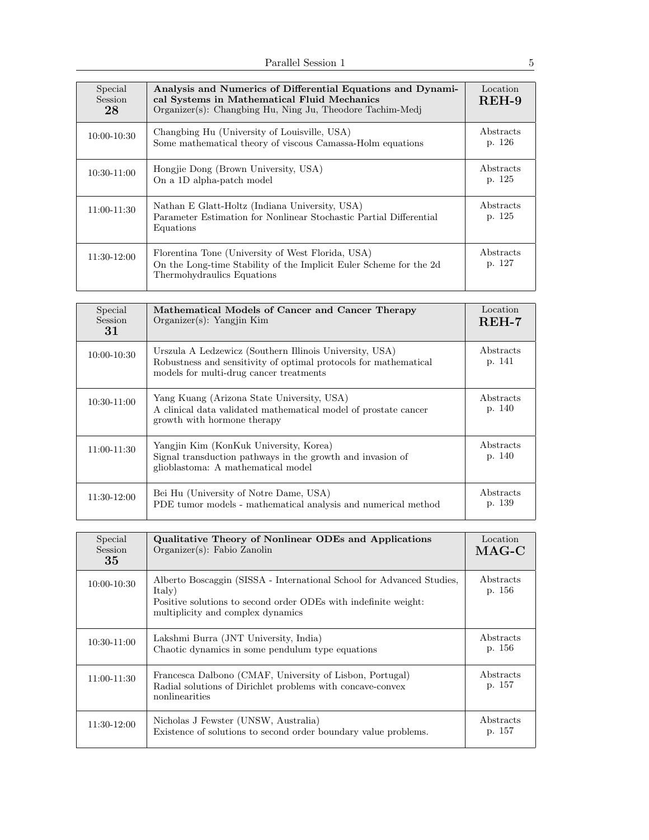| Special<br><b>Session</b><br>28 | Analysis and Numerics of Differential Equations and Dynami-<br>cal Systems in Mathematical Fluid Mechanics<br>Organizer(s): Changbing Hu, Ning Ju, Theodore Tachim-Medi | Location<br>REH-9   |
|---------------------------------|-------------------------------------------------------------------------------------------------------------------------------------------------------------------------|---------------------|
| $10:00 - 10:30$                 | Changbing Hu (University of Louisville, USA)<br>Some mathematical theory of viscous Camassa-Holm equations                                                              | Abstracts<br>p. 126 |
| $10:30-11:00$                   | Hongjie Dong (Brown University, USA)<br>On a 1D alpha-patch model                                                                                                       | Abstracts<br>p. 125 |
| $11:00-11:30$                   | Nathan E Glatt-Holtz (Indiana University, USA)<br>Parameter Estimation for Nonlinear Stochastic Partial Differential<br>Equations                                       | Abstracts<br>p. 125 |
| 11:30-12:00                     | Florentina Tone (University of West Florida, USA)<br>On the Long-time Stability of the Implicit Euler Scheme for the 2d<br>Thermohydraulics Equations                   | Abstracts<br>p. 127 |

| Special<br><b>Session</b><br>31 | Mathematical Models of Cancer and Cancer Therapy<br>Organizer(s): Yangjin Kim                                                                                          | Location<br>$REH-7$ |
|---------------------------------|------------------------------------------------------------------------------------------------------------------------------------------------------------------------|---------------------|
| $10:00 - 10:30$                 | Urszula A Ledzewicz (Southern Illinois University, USA)<br>Robustness and sensitivity of optimal protocols for mathematical<br>models for multi-drug cancer treatments | Abstracts<br>p. 141 |
| 10:30-11:00                     | Yang Kuang (Arizona State University, USA)<br>A clinical data validated mathematical model of prostate cancer<br>growth with hormone therapy                           | Abstracts<br>p. 140 |
| 11:00-11:30                     | Yangjin Kim (KonKuk University, Korea)<br>Signal transduction pathways in the growth and invasion of<br>glioblastoma: A mathematical model                             | Abstracts<br>p. 140 |
| 11:30-12:00                     | Bei Hu (University of Notre Dame, USA)<br>PDE tumor models - mathematical analysis and numerical method                                                                | Abstracts<br>p. 139 |

| Special<br>Session<br>35 | Qualitative Theory of Nonlinear ODEs and Applications<br>$Organizer(s)$ : Fabio Zanolin                                                                                                 | Location<br>$MAG-C$ |
|--------------------------|-----------------------------------------------------------------------------------------------------------------------------------------------------------------------------------------|---------------------|
| $10:00 - 10:30$          | Alberto Boscaggin (SISSA - International School for Advanced Studies,<br>Italy)<br>Positive solutions to second order ODEs with indefinite weight:<br>multiplicity and complex dynamics | Abstracts<br>p. 156 |
| 10:30-11:00              | Lakshmi Burra (JNT University, India)<br>Chaotic dynamics in some pendulum type equations                                                                                               | Abstracts<br>p. 156 |
| 11:00-11:30              | Francesca Dalbono (CMAF, University of Lisbon, Portugal)<br>Radial solutions of Dirichlet problems with concave-convex<br>nonlinearities                                                | Abstracts<br>p. 157 |
| 11:30-12:00              | Nicholas J Fewster (UNSW, Australia)<br>Existence of solutions to second order boundary value problems.                                                                                 | Abstracts<br>p. 157 |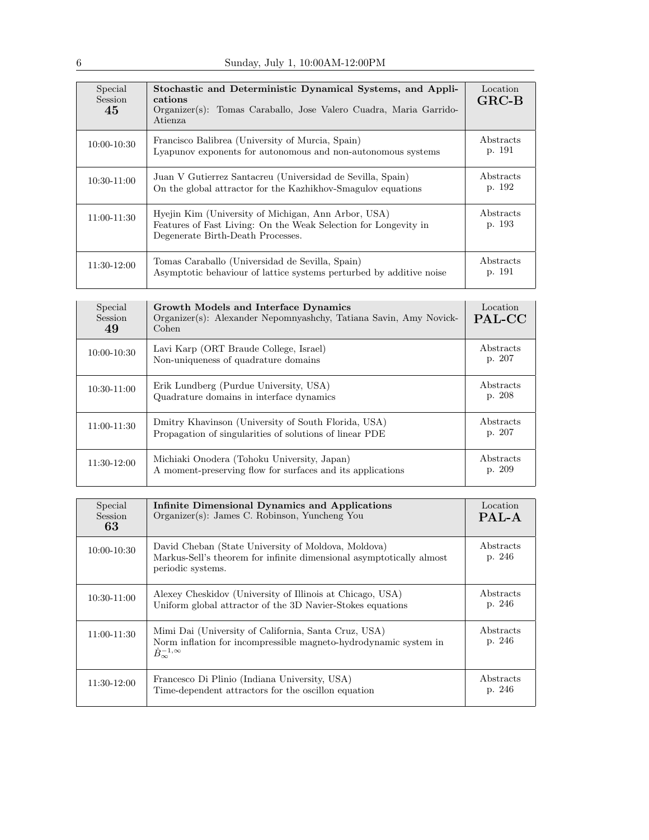| Special<br>Session<br>45 | Stochastic and Deterministic Dynamical Systems, and Appli-<br>cations<br>Organizer(s): Tomas Caraballo, Jose Valero Cuadra, Maria Garrido-<br>Atienza       | Location<br>$GRC-B$ |
|--------------------------|-------------------------------------------------------------------------------------------------------------------------------------------------------------|---------------------|
| 10:00-10:30              | Francisco Balibrea (University of Murcia, Spain)<br>Lyapunov exponents for autonomous and non-autonomous systems                                            | Abstracts<br>p. 191 |
| 10:30-11:00              | Juan V Gutierrez Santacreu (Universidad de Sevilla, Spain)<br>On the global attractor for the Kazhikhov-Smagulov equations                                  | Abstracts<br>p. 192 |
| 11:00-11:30              | Hyejin Kim (University of Michigan, Ann Arbor, USA)<br>Features of Fast Living: On the Weak Selection for Longevity in<br>Degenerate Birth-Death Processes. | Abstracts<br>p. 193 |
| 11:30-12:00              | Tomas Caraballo (Universidad de Sevilla, Spain)<br>Asymptotic behaviour of lattice systems perturbed by additive noise                                      | Abstracts<br>p. 191 |

| Special<br>Session<br>49 | Growth Models and Interface Dynamics<br>Organizer(s): Alexander Nepomnyashchy, Tatiana Savin, Amy Novick-<br>Cohen | Location<br>PAL-CC  |
|--------------------------|--------------------------------------------------------------------------------------------------------------------|---------------------|
| $10:00 - 10:30$          | Lavi Karp (ORT Braude College, Israel)<br>Non-uniqueness of quadrature domains                                     | Abstracts<br>p. 207 |
| 10:30-11:00              | Erik Lundberg (Purdue University, USA)<br>Quadrature domains in interface dynamics                                 | Abstracts<br>p. 208 |
| 11:00-11:30              | Dmitry Khavinson (University of South Florida, USA)<br>Propagation of singularities of solutions of linear PDE     | Abstracts<br>p. 207 |
| $11:30-12:00$            | Michiaki Onodera (Tohoku University, Japan)<br>A moment-preserving flow for surfaces and its applications          | Abstracts<br>p. 209 |

| Special<br><b>Session</b><br>63 | Infinite Dimensional Dynamics and Applications<br>Organizer(s): James C. Robinson, Yuncheng You                                                            | Location<br>PAL-A   |
|---------------------------------|------------------------------------------------------------------------------------------------------------------------------------------------------------|---------------------|
| $10:00 - 10:30$                 | David Cheban (State University of Moldova, Moldova)<br>Markus-Sell's theorem for infinite dimensional asymptotically almost<br>periodic systems.           | Abstracts<br>p. 246 |
| 10:30-11:00                     | Alexey Cheskidov (University of Illinois at Chicago, USA)<br>Uniform global attractor of the 3D Navier-Stokes equations                                    | Abstracts<br>p. 246 |
| $11:00-11:30$                   | Mimi Dai (University of California, Santa Cruz, USA)<br>Norm inflation for incompressible magneto-hydrodynamic system in<br>$\dot{B}_{\infty}^{-1,\infty}$ | Abstracts<br>p. 246 |
| 11:30-12:00                     | Francesco Di Plinio (Indiana University, USA)<br>Time-dependent attractors for the oscillon equation                                                       | Abstracts<br>p. 246 |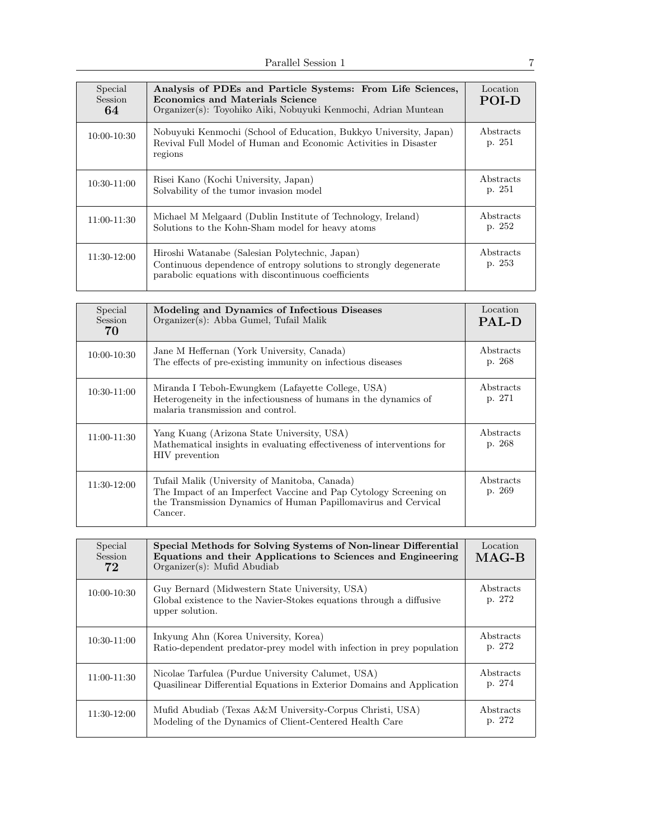| Special<br><b>Session</b><br>64 | Analysis of PDEs and Particle Systems: From Life Sciences,<br><b>Economics and Materials Science</b><br>Organizer(s): Toyohiko Aiki, Nobuyuki Kenmochi, Adrian Muntean     | Location<br><b>POLD</b> |
|---------------------------------|----------------------------------------------------------------------------------------------------------------------------------------------------------------------------|-------------------------|
| $10:00 - 10:30$                 | Nobuyuki Kenmochi (School of Education, Bukkyo University, Japan)<br>Revival Full Model of Human and Economic Activities in Disaster<br>regions                            | Abstracts<br>p. 251     |
| 10:30-11:00                     | Risei Kano (Kochi University, Japan)<br>Solvability of the tumor invasion model                                                                                            | Abstracts<br>p. 251     |
| 11:00-11:30                     | Michael M Melgaard (Dublin Institute of Technology, Ireland)<br>Solutions to the Kohn-Sham model for heavy atoms                                                           | Abstracts<br>p. 252     |
| 11:30-12:00                     | Hiroshi Watanabe (Salesian Polytechnic, Japan)<br>Continuous dependence of entropy solutions to strongly degenerate<br>parabolic equations with discontinuous coefficients | Abstracts<br>p. 253     |

| Special<br>Session<br>70 | Modeling and Dynamics of Infectious Diseases<br>Organizer(s): Abba Gumel, Tufail Malik                                                                                                         | Location<br><b>PAL-D</b> |
|--------------------------|------------------------------------------------------------------------------------------------------------------------------------------------------------------------------------------------|--------------------------|
| $10:00 - 10:30$          | Jane M Heffernan (York University, Canada)<br>The effects of pre-existing immunity on infectious diseases                                                                                      | Abstracts<br>p. 268      |
| $10:30-11:00$            | Miranda I Teboh-Ewungkem (Lafayette College, USA)<br>Heterogeneity in the infectiousness of humans in the dynamics of<br>malaria transmission and control.                                     | Abstracts<br>p. 271      |
| 11:00-11:30              | Yang Kuang (Arizona State University, USA)<br>Mathematical insights in evaluating effectiveness of interventions for<br>HIV prevention                                                         | Abstracts<br>p. 268      |
| 11:30-12:00              | Tufail Malik (University of Manitoba, Canada)<br>The Impact of an Imperfect Vaccine and Pap Cytology Screening on<br>the Transmission Dynamics of Human Papillomavirus and Cervical<br>Cancer. | Abstracts<br>p. 269      |

| Special<br>Session<br>72 | Special Methods for Solving Systems of Non-linear Differential<br>Equations and their Applications to Sciences and Engineering<br>$Organizer(s)$ : Mufid Abudiab | Location<br>$MAG-B$ |
|--------------------------|------------------------------------------------------------------------------------------------------------------------------------------------------------------|---------------------|
| $10:00 - 10:30$          | Guy Bernard (Midwestern State University, USA)<br>Global existence to the Navier-Stokes equations through a diffusive<br>upper solution.                         | Abstracts<br>p. 272 |
| $10:30-11:00$            | Inkyung Ahn (Korea University, Korea)<br>Ratio-dependent predator-prey model with infection in prey population                                                   | Abstracts<br>p. 272 |
| 11:00-11:30              | Nicolae Tarfulea (Purdue University Calumet, USA)<br>Quasilinear Differential Equations in Exterior Domains and Application                                      | Abstracts<br>p. 274 |
| 11:30-12:00              | Mufid Abudiab (Texas A&M University-Corpus Christi, USA)<br>Modeling of the Dynamics of Client-Centered Health Care                                              | Abstracts<br>p. 272 |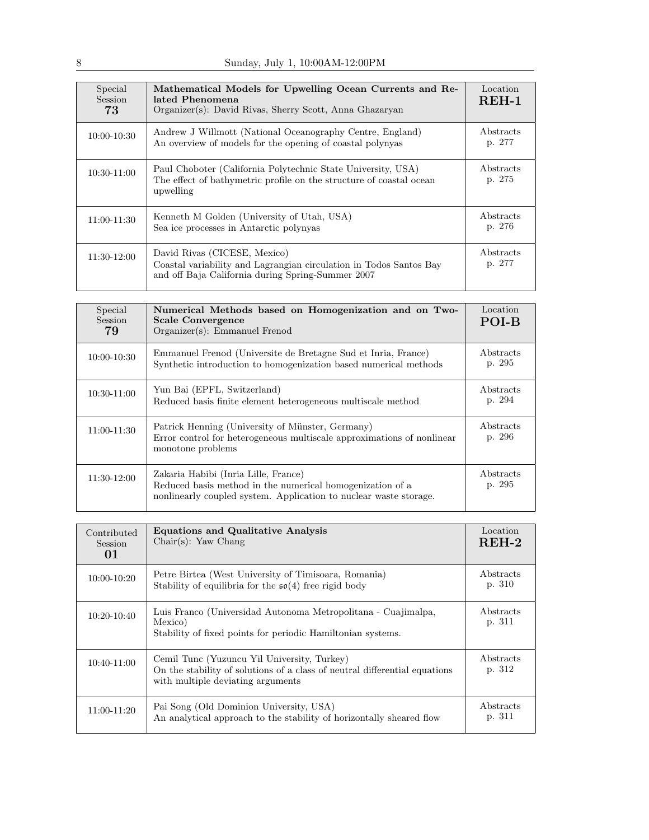| Special<br><b>Session</b><br>73 | Mathematical Models for Upwelling Ocean Currents and Re-<br>lated Phenomena<br>Organizer(s): David Rivas, Sherry Scott, Anna Ghazaryan                  | Location<br>$REH-1$ |
|---------------------------------|---------------------------------------------------------------------------------------------------------------------------------------------------------|---------------------|
| $10:00 - 10:30$                 | Andrew J Willmott (National Oceanography Centre, England)<br>An overview of models for the opening of coastal polynyas                                  | Abstracts<br>p. 277 |
| $10:30-11:00$                   | Paul Choboter (California Polytechnic State University, USA)<br>The effect of bathymetric profile on the structure of coastal ocean<br>upwelling        | Abstracts<br>p. 275 |
| $11:00 - 11:30$                 | Kenneth M Golden (University of Utah, USA)<br>Sea ice processes in Antarctic polynyas                                                                   | Abstracts<br>p. 276 |
| $11:30-12:00$                   | David Rivas (CICESE, Mexico)<br>Coastal variability and Lagrangian circulation in Todos Santos Bay<br>and off Baja California during Spring-Summer 2007 | Abstracts<br>p. 277 |

| Special<br><b>Session</b><br>79 | Numerical Methods based on Homogenization and on Two-<br><b>Scale Convergence</b><br>Organizer(s): Emmanuel Frenod                                                     | Location<br>POI-B   |
|---------------------------------|------------------------------------------------------------------------------------------------------------------------------------------------------------------------|---------------------|
| $10:00 - 10:30$                 | Emmanuel Frenod (Universite de Bretagne Sud et Inria, France)<br>Synthetic introduction to homogenization based numerical methods                                      | Abstracts<br>p. 295 |
| 10:30-11:00                     | Yun Bai (EPFL, Switzerland)<br>Reduced basis finite element heterogeneous multiscale method                                                                            | Abstracts<br>p. 294 |
| 11:00-11:30                     | Patrick Henning (University of Münster, Germany)<br>Error control for heterogeneous multiscale approximations of nonlinear<br>monotone problems                        | Abstracts<br>p. 296 |
| 11:30-12:00                     | Zakaria Habibi (Inria Lille, France)<br>Reduced basis method in the numerical homogenization of a<br>nonlinearly coupled system. Application to nuclear waste storage. | Abstracts<br>p. 295 |

| Contributed<br><b>Session</b><br>01 | <b>Equations and Qualitative Analysis</b><br>$Chair(s):$ Yaw Chang                                                                                             | Location<br>$REH-2$ |
|-------------------------------------|----------------------------------------------------------------------------------------------------------------------------------------------------------------|---------------------|
| $10:00 - 10:20$                     | Petre Birtea (West University of Timisoara, Romania)<br>Stability of equilibria for the $\mathfrak{so}(4)$ free rigid body                                     | Abstracts<br>p. 310 |
| $10:20 - 10:40$                     | Luis Franco (Universidad Autonoma Metropolitana - Cuajimalpa,<br>Mexico)<br>Stability of fixed points for periodic Hamiltonian systems.                        | Abstracts<br>p. 311 |
| $10:40-11:00$                       | Cemil Tunc (Yuzuncu Yil University, Turkey)<br>On the stability of solutions of a class of neutral differential equations<br>with multiple deviating arguments | Abstracts<br>p. 312 |
| $11:00-11:20$                       | Pai Song (Old Dominion University, USA)<br>An analytical approach to the stability of horizontally sheared flow                                                | Abstracts<br>p. 311 |